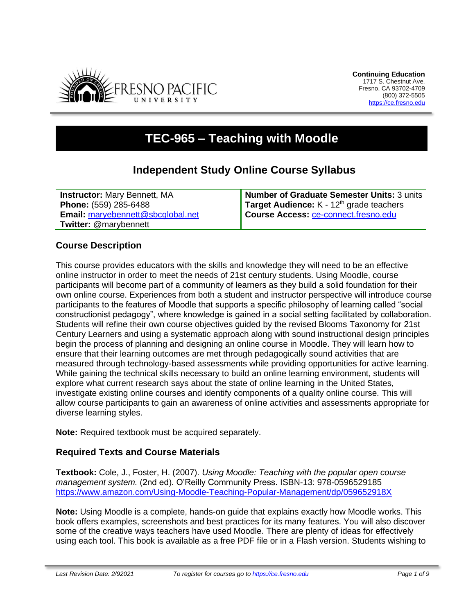

# **TEC-965 – Teaching with Moodle**

# **Independent Study Online Course Syllabus**

**Instructor:** Mary Bennett, MA **Phone:** (559) 285-6488 **Email:** [maryebennett@sbcglobal.net](mailto:maryebennett@sbcglobal.net) **Twitter:** @marybennett

**Number of Graduate Semester Units:** 3 units Target Audience: K - 12<sup>th</sup> grade teachers **Course Access:** [ce-connect.fresno.edu](https://ce-connect.fresno.edu/)

# **Course Description**

This course provides educators with the skills and knowledge they will need to be an effective online instructor in order to meet the needs of 21st century students. Using Moodle, course participants will become part of a community of learners as they build a solid foundation for their own online course. Experiences from both a student and instructor perspective will introduce course participants to the features of Moodle that supports a specific philosophy of learning called "social constructionist pedagogy", where knowledge is gained in a social setting facilitated by collaboration. Students will refine their own course objectives guided by the revised Blooms Taxonomy for 21st Century Learners and using a systematic approach along with sound instructional design principles begin the process of planning and designing an online course in Moodle. They will learn how to ensure that their learning outcomes are met through pedagogically sound activities that are measured through technology-based assessments while providing opportunities for active learning. While gaining the technical skills necessary to build an online learning environment, students will explore what current research says about the state of online learning in the United States, investigate existing online courses and identify components of a quality online course. This will allow course participants to gain an awareness of online activities and assessments appropriate for diverse learning styles.

**Note:** Required textbook must be acquired separately.

# **Required Texts and Course Materials**

**Textbook:** Cole, J., Foster, H. (2007). *Using Moodle: Teaching with the popular open course management system.* (2nd ed). O'Reilly Community Press. ISBN-13: 978-0596529185 <https://www.amazon.com/Using-Moodle-Teaching-Popular-Management/dp/059652918X>

**Note:** Using Moodle is a complete, hands-on guide that explains exactly how Moodle works. This book offers examples, screenshots and best practices for its many features. You will also discover some of the creative ways teachers have used Moodle. There are plenty of ideas for effectively using each tool. This book is available as a free PDF file or in a Flash version. Students wishing to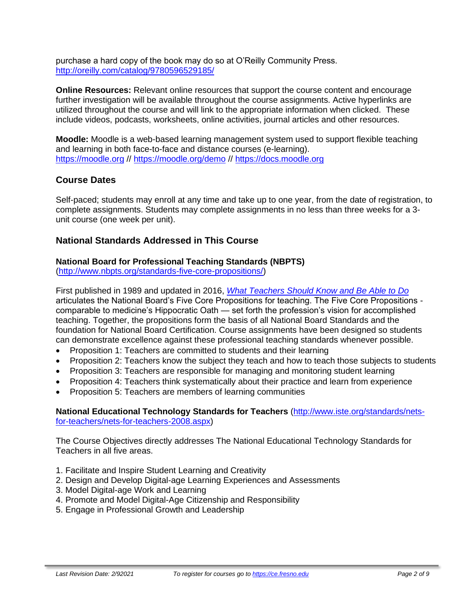purchase a hard copy of the book may do so at O'Reilly Community Press. <http://oreilly.com/catalog/9780596529185/>

**Online Resources:** Relevant online resources that support the course content and encourage further investigation will be available throughout the course assignments. Active hyperlinks are utilized throughout the course and will link to the appropriate information when clicked. These include videos, podcasts, worksheets, online activities, journal articles and other resources.

**Moodle:** Moodle is a web-based learning management system used to support flexible teaching and learning in both face-to-face and distance courses (e-learning). [https://moodle.org](https://moodle.org/) // <https://moodle.org/demo> // [https://docs.moodle.org](https://docs.moodle.org/)

# **Course Dates**

Self-paced; students may enroll at any time and take up to one year, from the date of registration, to complete assignments. Students may complete assignments in no less than three weeks for a 3 unit course (one week per unit).

### **National Standards Addressed in This Course**

#### **National Board for Professional Teaching Standards (NBPTS)**

[\(http://www.nbpts.org/standards-five-core-propositions/\)](http://www.nbpts.org/standards-five-core-propositions/)

First published in 1989 and updated in 2016, *[What Teachers Should Know and Be Able to Do](http://www.accomplishedteacher.org/)* articulates the National Board's Five Core Propositions for teaching. The Five Core Propositions comparable to medicine's Hippocratic Oath — set forth the profession's vision for accomplished teaching. Together, the propositions form the basis of all National Board Standards and the foundation for National Board Certification. Course assignments have been designed so students can demonstrate excellence against these professional teaching standards whenever possible.

- Proposition 1: Teachers are committed to students and their learning
- Proposition 2: Teachers know the subject they teach and how to teach those subjects to students
- Proposition 3: Teachers are responsible for managing and monitoring student learning
- Proposition 4: Teachers think systematically about their practice and learn from experience
- Proposition 5: Teachers are members of learning communities

**National Educational Technology Standards for Teachers** [\(http://www.iste.org/standards/nets](http://www.iste.org/standards/nets-for-teachers/nets-for-teachers-2008.aspx)[for-teachers/nets-for-teachers-2008.aspx\)](http://www.iste.org/standards/nets-for-teachers/nets-for-teachers-2008.aspx)

The Course Objectives directly addresses The National Educational Technology Standards for Teachers in all five areas.

- 1. Facilitate and Inspire Student Learning and Creativity
- 2. Design and Develop Digital-age Learning Experiences and Assessments
- 3. Model Digital-age Work and Learning
- 4. Promote and Model Digital-Age Citizenship and Responsibility
- 5. Engage in Professional Growth and Leadership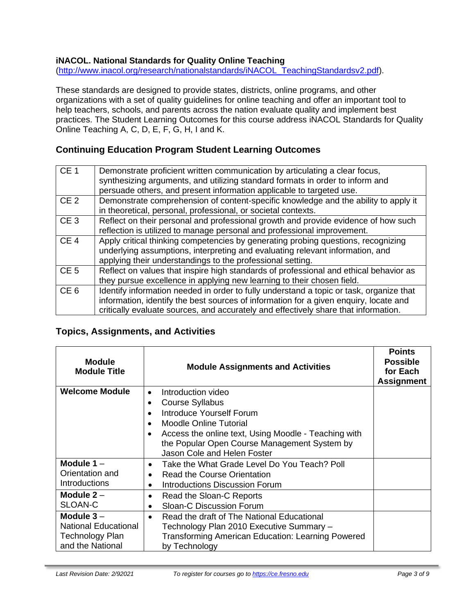# **iNACOL. National Standards for Quality Online Teaching**

[\(http://www.inacol.org/research/nationalstandards/iNACOL\\_TeachingStandardsv2.pdf\)](http://www.inacol.org/research/nationalstandards/iNACOL_TeachingStandardsv2.pdf).

These standards are designed to provide states, districts, online programs, and other organizations with a set of quality guidelines for online teaching and offer an important tool to help teachers, schools, and parents across the nation evaluate quality and implement best practices. The Student Learning Outcomes for this course address iNACOL Standards for Quality Online Teaching A, C, D, E, F, G, H, I and K.

# **Continuing Education Program Student Learning Outcomes**

| CE <sub>1</sub> | Demonstrate proficient written communication by articulating a clear focus,<br>synthesizing arguments, and utilizing standard formats in order to inform and<br>persuade others, and present information applicable to targeted use.                                    |
|-----------------|-------------------------------------------------------------------------------------------------------------------------------------------------------------------------------------------------------------------------------------------------------------------------|
| CE <sub>2</sub> | Demonstrate comprehension of content-specific knowledge and the ability to apply it<br>in theoretical, personal, professional, or societal contexts.                                                                                                                    |
| CE <sub>3</sub> | Reflect on their personal and professional growth and provide evidence of how such<br>reflection is utilized to manage personal and professional improvement.                                                                                                           |
| CE <sub>4</sub> | Apply critical thinking competencies by generating probing questions, recognizing<br>underlying assumptions, interpreting and evaluating relevant information, and<br>applying their understandings to the professional setting.                                        |
| CE <sub>5</sub> | Reflect on values that inspire high standards of professional and ethical behavior as<br>they pursue excellence in applying new learning to their chosen field.                                                                                                         |
| CE <sub>6</sub> | Identify information needed in order to fully understand a topic or task, organize that<br>information, identify the best sources of information for a given enquiry, locate and<br>critically evaluate sources, and accurately and effectively share that information. |

#### **Topics, Assignments, and Activities**

| <b>Module</b><br><b>Module Title</b> | <b>Module Assignments and Activities</b>             | <b>Points</b><br><b>Possible</b><br>for Each<br><b>Assignment</b> |
|--------------------------------------|------------------------------------------------------|-------------------------------------------------------------------|
| <b>Welcome Module</b>                | Introduction video<br>$\bullet$                      |                                                                   |
|                                      | <b>Course Syllabus</b>                               |                                                                   |
|                                      | Introduce Yourself Forum                             |                                                                   |
|                                      | Moodle Online Tutorial                               |                                                                   |
|                                      | Access the online text, Using Moodle - Teaching with |                                                                   |
|                                      | the Popular Open Course Management System by         |                                                                   |
|                                      | Jason Cole and Helen Foster                          |                                                                   |
| Module $1 -$                         | Take the What Grade Level Do You Teach? Poll         |                                                                   |
| Orientation and                      | Read the Course Orientation                          |                                                                   |
| <b>Introductions</b>                 | Introductions Discussion Forum<br>$\bullet$          |                                                                   |
| Module $2 -$                         | Read the Sloan-C Reports<br>٠                        |                                                                   |
| SLOAN-C                              | <b>Sloan-C Discussion Forum</b>                      |                                                                   |
| Module $3-$                          | Read the draft of The National Educational           |                                                                   |
| <b>National Educational</b>          | Technology Plan 2010 Executive Summary -             |                                                                   |
| <b>Technology Plan</b>               | Transforming American Education: Learning Powered    |                                                                   |
| and the National                     | by Technology                                        |                                                                   |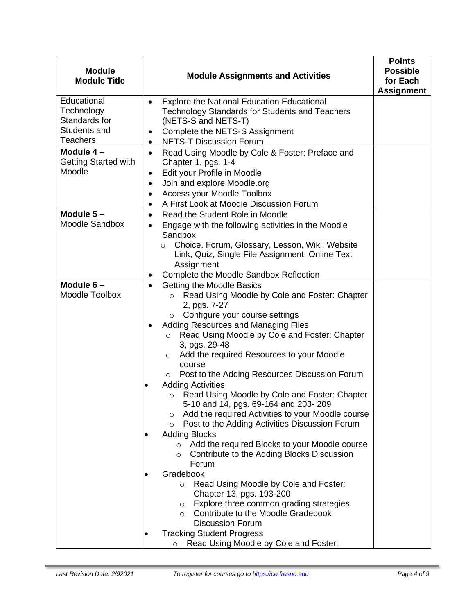| <b>Module</b><br><b>Module Title</b>                                          | <b>Module Assignments and Activities</b>                                                                                                                                                                                                                                                                                                                                                                                                                                                                                                                                                                                                                                                                                                                                                                                                                                                                                                                                                                                                                                                                                                              | <b>Points</b><br><b>Possible</b><br>for Each<br><b>Assignment</b> |
|-------------------------------------------------------------------------------|-------------------------------------------------------------------------------------------------------------------------------------------------------------------------------------------------------------------------------------------------------------------------------------------------------------------------------------------------------------------------------------------------------------------------------------------------------------------------------------------------------------------------------------------------------------------------------------------------------------------------------------------------------------------------------------------------------------------------------------------------------------------------------------------------------------------------------------------------------------------------------------------------------------------------------------------------------------------------------------------------------------------------------------------------------------------------------------------------------------------------------------------------------|-------------------------------------------------------------------|
| Educational<br>Technology<br>Standards for<br>Students and<br><b>Teachers</b> | <b>Explore the National Education Educational</b><br>$\bullet$<br><b>Technology Standards for Students and Teachers</b><br>(NETS-S and NETS-T)<br>Complete the NETS-S Assignment<br>$\bullet$<br><b>NETS-T Discussion Forum</b><br>$\bullet$                                                                                                                                                                                                                                                                                                                                                                                                                                                                                                                                                                                                                                                                                                                                                                                                                                                                                                          |                                                                   |
| Module $4-$<br><b>Getting Started with</b><br>Moodle                          | Read Using Moodle by Cole & Foster: Preface and<br>$\bullet$<br>Chapter 1, pgs. 1-4<br>Edit your Profile in Moodle<br>$\bullet$<br>Join and explore Moodle.org<br>$\bullet$<br>Access your Moodle Toolbox<br>A First Look at Moodle Discussion Forum<br>٠                                                                                                                                                                                                                                                                                                                                                                                                                                                                                                                                                                                                                                                                                                                                                                                                                                                                                             |                                                                   |
| Module $5-$<br><b>Moodle Sandbox</b>                                          | Read the Student Role in Moodle<br>$\bullet$<br>Engage with the following activities in the Moodle<br>$\bullet$<br>Sandbox<br>Choice, Forum, Glossary, Lesson, Wiki, Website<br>$\circ$<br>Link, Quiz, Single File Assignment, Online Text<br>Assignment<br>Complete the Moodle Sandbox Reflection                                                                                                                                                                                                                                                                                                                                                                                                                                                                                                                                                                                                                                                                                                                                                                                                                                                    |                                                                   |
| Module $6-$<br>Moodle Toolbox                                                 | Getting the Moodle Basics<br>$\bullet$<br>Read Using Moodle by Cole and Foster: Chapter<br>$\circ$<br>2, pgs. 7-27<br>Configure your course settings<br>$\circ$<br>Adding Resources and Managing Files<br>Read Using Moodle by Cole and Foster: Chapter<br>$\circ$<br>3, pgs. 29-48<br>Add the required Resources to your Moodle<br>$\circ$<br>course<br>Post to the Adding Resources Discussion Forum<br>$\circ$<br><b>Adding Activities</b><br>Read Using Moodle by Cole and Foster: Chapter<br>$\circ$<br>5-10 and 14, pgs. 69-164 and 203-209<br>Add the required Activities to your Moodle course<br>O<br>Post to the Adding Activities Discussion Forum<br>$\circ$<br><b>Adding Blocks</b><br>Add the required Blocks to your Moodle course<br>$\circ$<br>Contribute to the Adding Blocks Discussion<br>$\circ$<br>Forum<br>Gradebook<br>Read Using Moodle by Cole and Foster:<br>$\circ$<br>Chapter 13, pgs. 193-200<br>Explore three common grading strategies<br>$\circ$<br>Contribute to the Moodle Gradebook<br>$\circ$<br><b>Discussion Forum</b><br><b>Tracking Student Progress</b><br>Read Using Moodle by Cole and Foster:<br>$\circ$ |                                                                   |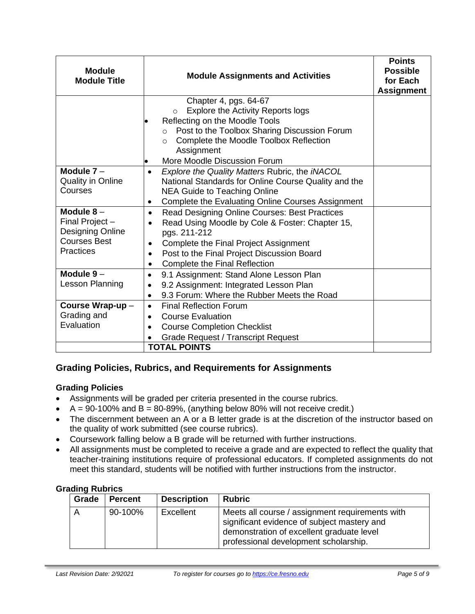| <b>Module</b><br><b>Module Title</b>                                                          | <b>Module Assignments and Activities</b>                                                                                                                                                                                                                                        | <b>Points</b><br><b>Possible</b><br>for Each<br><b>Assignment</b> |
|-----------------------------------------------------------------------------------------------|---------------------------------------------------------------------------------------------------------------------------------------------------------------------------------------------------------------------------------------------------------------------------------|-------------------------------------------------------------------|
|                                                                                               | Chapter 4, pgs. 64-67<br>Explore the Activity Reports logs<br>$\circ$<br>Reflecting on the Moodle Tools<br>Post to the Toolbox Sharing Discussion Forum<br>$\circ$<br>Complete the Moodle Toolbox Reflection<br>$\circ$<br>Assignment<br>More Moodle Discussion Forum           |                                                                   |
| Module $7 -$<br><b>Quality in Online</b><br>Courses                                           | Explore the Quality Matters Rubric, the iNACOL<br>$\bullet$<br>National Standards for Online Course Quality and the<br><b>NEA Guide to Teaching Online</b><br>Complete the Evaluating Online Courses Assignment<br>$\bullet$                                                    |                                                                   |
| Module $8-$<br>Final Project -<br>Designing Online<br><b>Courses Best</b><br><b>Practices</b> | Read Designing Online Courses: Best Practices<br>$\bullet$<br>Read Using Moodle by Cole & Foster: Chapter 15,<br>pgs. 211-212<br>Complete the Final Project Assignment<br>Post to the Final Project Discussion Board<br>$\bullet$<br>Complete the Final Reflection<br>$\bullet$ |                                                                   |
| Module $9-$<br>Lesson Planning                                                                | 9.1 Assignment: Stand Alone Lesson Plan<br>$\bullet$<br>9.2 Assignment: Integrated Lesson Plan<br>$\bullet$<br>9.3 Forum: Where the Rubber Meets the Road<br>$\bullet$                                                                                                          |                                                                   |
| Course Wrap-up-<br>Grading and<br>Evaluation                                                  | <b>Final Reflection Forum</b><br>$\bullet$<br><b>Course Evaluation</b><br><b>Course Completion Checklist</b><br>$\bullet$<br><b>Grade Request / Transcript Request</b><br><b>TOTAL POINTS</b>                                                                                   |                                                                   |

# **Grading Policies, Rubrics, and Requirements for Assignments**

#### **Grading Policies**

- Assignments will be graded per criteria presented in the course rubrics.
- $A = 90-100\%$  and  $B = 80-89\%$ , (anything below 80% will not receive credit.)
- The discernment between an A or a B letter grade is at the discretion of the instructor based on the quality of work submitted (see course rubrics).
- Coursework falling below a B grade will be returned with further instructions.
- All assignments must be completed to receive a grade and are expected to reflect the quality that teacher-training institutions require of professional educators. If completed assignments do not meet this standard, students will be notified with further instructions from the instructor.

#### **Grading Rubrics**

| Grade | <b>Percent</b> | <b>Description</b> | <b>Rubric</b>                                                                                                                                                                        |
|-------|----------------|--------------------|--------------------------------------------------------------------------------------------------------------------------------------------------------------------------------------|
|       | 90-100%        | Excellent          | Meets all course / assignment requirements with<br>significant evidence of subject mastery and<br>demonstration of excellent graduate level<br>professional development scholarship. |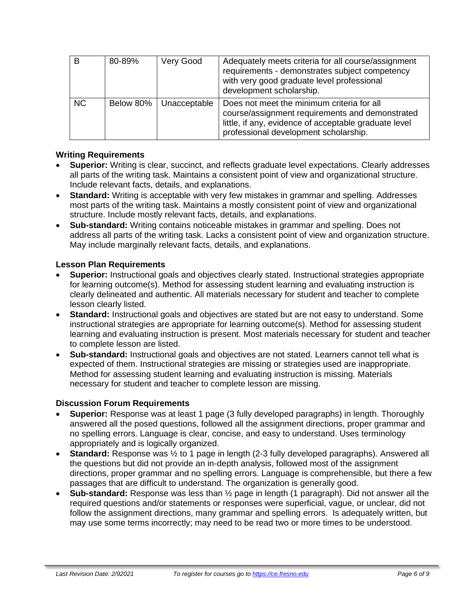| B         | 80-89%    | Very Good    | Adequately meets criteria for all course/assignment<br>requirements - demonstrates subject competency<br>with very good graduate level professional<br>development scholarship.                 |
|-----------|-----------|--------------|-------------------------------------------------------------------------------------------------------------------------------------------------------------------------------------------------|
| <b>NC</b> | Below 80% | Unacceptable | Does not meet the minimum criteria for all<br>course/assignment requirements and demonstrated<br>little, if any, evidence of acceptable graduate level<br>professional development scholarship. |

#### **Writing Requirements**

- **Superior:** Writing is clear, succinct, and reflects graduate level expectations. Clearly addresses all parts of the writing task. Maintains a consistent point of view and organizational structure. Include relevant facts, details, and explanations.
- **Standard:** Writing is acceptable with very few mistakes in grammar and spelling. Addresses most parts of the writing task. Maintains a mostly consistent point of view and organizational structure. Include mostly relevant facts, details, and explanations.
- **Sub-standard:** Writing contains noticeable mistakes in grammar and spelling. Does not address all parts of the writing task. Lacks a consistent point of view and organization structure. May include marginally relevant facts, details, and explanations.

### **Lesson Plan Requirements**

- **Superior:** Instructional goals and objectives clearly stated. Instructional strategies appropriate for learning outcome(s). Method for assessing student learning and evaluating instruction is clearly delineated and authentic. All materials necessary for student and teacher to complete lesson clearly listed.
- **Standard:** Instructional goals and objectives are stated but are not easy to understand. Some instructional strategies are appropriate for learning outcome(s). Method for assessing student learning and evaluating instruction is present. Most materials necessary for student and teacher to complete lesson are listed.
- **Sub-standard:** Instructional goals and objectives are not stated. Learners cannot tell what is expected of them. Instructional strategies are missing or strategies used are inappropriate. Method for assessing student learning and evaluating instruction is missing. Materials necessary for student and teacher to complete lesson are missing.

#### **Discussion Forum Requirements**

- **Superior:** Response was at least 1 page (3 fully developed paragraphs) in length. Thoroughly answered all the posed questions, followed all the assignment directions, proper grammar and no spelling errors. Language is clear, concise, and easy to understand. Uses terminology appropriately and is logically organized.
- **Standard:** Response was ½ to 1 page in length (2-3 fully developed paragraphs). Answered all the questions but did not provide an in-depth analysis, followed most of the assignment directions, proper grammar and no spelling errors. Language is comprehensible, but there a few passages that are difficult to understand. The organization is generally good.
- **Sub-standard:** Response was less than ½ page in length (1 paragraph). Did not answer all the required questions and/or statements or responses were superficial, vague, or unclear, did not follow the assignment directions, many grammar and spelling errors. Is adequately written, but may use some terms incorrectly; may need to be read two or more times to be understood.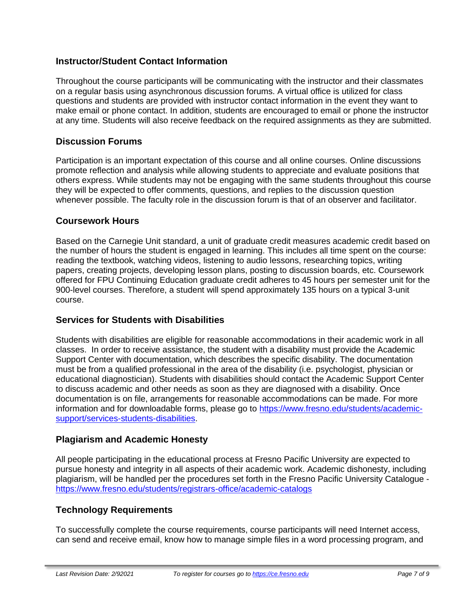# **Instructor/Student Contact Information**

Throughout the course participants will be communicating with the instructor and their classmates on a regular basis using asynchronous discussion forums. A virtual office is utilized for class questions and students are provided with instructor contact information in the event they want to make email or phone contact. In addition, students are encouraged to email or phone the instructor at any time. Students will also receive feedback on the required assignments as they are submitted.

# **Discussion Forums**

Participation is an important expectation of this course and all online courses. Online discussions promote reflection and analysis while allowing students to appreciate and evaluate positions that others express. While students may not be engaging with the same students throughout this course they will be expected to offer comments, questions, and replies to the discussion question whenever possible. The faculty role in the discussion forum is that of an observer and facilitator.

### **Coursework Hours**

Based on the Carnegie Unit standard, a unit of graduate credit measures academic credit based on the number of hours the student is engaged in learning. This includes all time spent on the course: reading the textbook, watching videos, listening to audio lessons, researching topics, writing papers, creating projects, developing lesson plans, posting to discussion boards, etc. Coursework offered for FPU Continuing Education graduate credit adheres to 45 hours per semester unit for the 900-level courses. Therefore, a student will spend approximately 135 hours on a typical 3-unit course.

# **Services for Students with Disabilities**

Students with disabilities are eligible for reasonable accommodations in their academic work in all classes. In order to receive assistance, the student with a disability must provide the Academic Support Center with documentation, which describes the specific disability. The documentation must be from a qualified professional in the area of the disability (i.e. psychologist, physician or educational diagnostician). Students with disabilities should contact the Academic Support Center to discuss academic and other needs as soon as they are diagnosed with a disability. Once documentation is on file, arrangements for reasonable accommodations can be made. For more information and for downloadable forms, please go to [https://www.fresno.edu/students/academic](https://www.fresno.edu/students/academic-support/services-students-disabilities)[support/services-students-disabilities.](https://www.fresno.edu/students/academic-support/services-students-disabilities)

# **Plagiarism and Academic Honesty**

All people participating in the educational process at Fresno Pacific University are expected to pursue honesty and integrity in all aspects of their academic work. Academic dishonesty, including plagiarism, will be handled per the procedures set forth in the Fresno Pacific University Catalogue <https://www.fresno.edu/students/registrars-office/academic-catalogs>

# **Technology Requirements**

To successfully complete the course requirements, course participants will need Internet access, can send and receive email, know how to manage simple files in a word processing program, and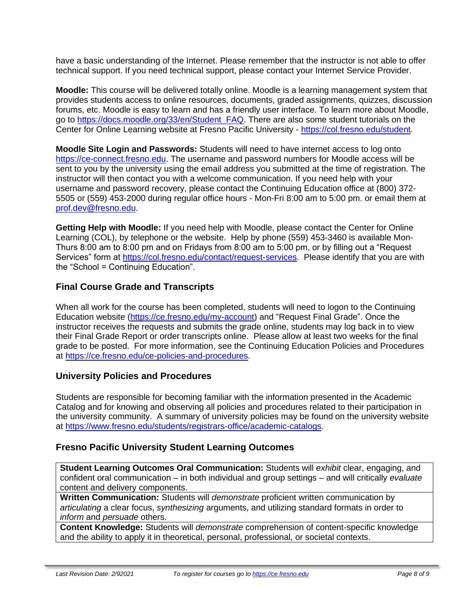have a basic understanding of the Internet. Please remember that the instructor is not able to offer technical support. If you need technical support, please contact your Internet Service Provider.

**Moodle:** This course will be delivered totally online. Moodle is a learning management system that provides students access to online resources, documents, graded assignments, quizzes, discussion forums, etc. Moodle is easy to learn and has a friendly user interface. To learn more about Moodle, go to [https://docs.moodle.org/33/en/Student\\_FAQ.](https://docs.moodle.org/33/en/Student_FAQ) There are also some student tutorials on the Center for Online Learning website at Fresno Pacific University - [https://col.fresno.edu/student.](https://col.fresno.edu/student)

**Moodle Site Login and Passwords:** Students will need to have internet access to log onto [https://ce-connect.fresno.edu.](https://ce-connect.fresno.edu/) The username and password numbers for Moodle access will be sent to you by the university using the email address you submitted at the time of registration. The instructor will then contact you with a welcome communication. If you need help with your username and password recovery, please contact the Continuing Education office at (800) 372- 5505 or (559) 453-2000 during regular office hours - Mon-Fri 8:00 am to 5:00 pm. or email them at [prof.dev@fresno.edu.](mailto:prof.dev@fresno.edu)

**Getting Help with Moodle:** If you need help with Moodle, please contact the Center for Online Learning (COL), by telephone or the website. Help by phone (559) 453-3460 is available Mon-Thurs 8:00 am to 8:00 pm and on Fridays from 8:00 am to 5:00 pm, or by filling out a "Request Services" form at [https://col.fresno.edu/contact/request-services.](https://col.fresno.edu/contact/request-services) Please identify that you are with the "School = Continuing Education".

# **Final Course Grade and Transcripts**

When all work for the course has been completed, students will need to logon to the Continuing Education website [\(https://ce.fresno.edu/my-account\)](https://ce.fresno.edu/my-account) and "Request Final Grade". Once the instructor receives the requests and submits the grade online, students may log back in to view their Final Grade Report or order transcripts online. Please allow at least two weeks for the final grade to be posted. For more information, see the Continuing Education Policies and Procedures at [https://ce.fresno.edu/ce-policies-and-procedures.](https://ce.fresno.edu/ce-policies-and-procedures)

# **University Policies and Procedures**

Students are responsible for becoming familiar with the information presented in the Academic Catalog and for knowing and observing all policies and procedures related to their participation in the university community. A summary of university policies may be found on the university website at [https://www.fresno.edu/students/registrars-office/academic-catalogs.](https://www.fresno.edu/students/registrars-office/academic-catalogs)

# **Fresno Pacific University Student Learning Outcomes**

**Student Learning Outcomes Oral Communication:** Students will *exhibit* clear, engaging, and confident oral communication – in both individual and group settings – and will critically *evaluate*  content and delivery components.

**Written Communication:** Students will *demonstrate* proficient written communication by *articulating* a clear focus, *synthesizing* arguments, and utilizing standard formats in order to *inform* and *persuade* others.

**Content Knowledge:** Students will *demonstrate* comprehension of content-specific knowledge and the ability to apply it in theoretical, personal, professional, or societal contexts.